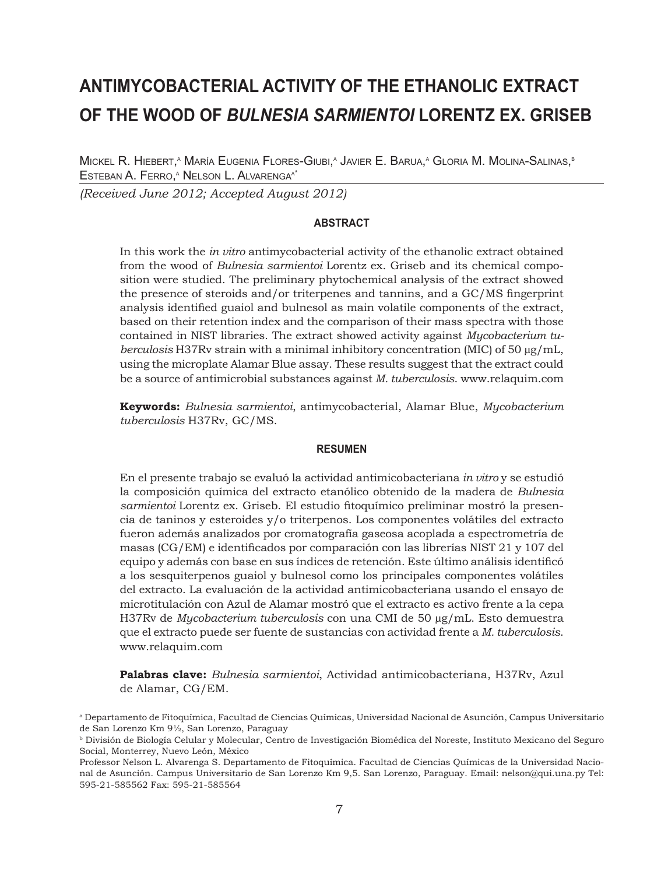# **ANTIMYCOBACTERIAL ACTIVITY OF THE ETHANOLIC EXTRACT OF THE WOOD OF** *BULNESIA SARMIENTOI* **LORENTZ EX. GRISEB**

Mickel R. Hiebert,^ María Eugenia Flores-Giubi,^ Javier E. Barua,^ Gloria M. Molina-Salinas,® <u>Esteban A. Ferro,<sup>a</sup> Nelson L. Alvarenga<sup>at</sup></u>

*(Received June 2012; Accepted August 2012)*

## **ABSTRACT**

In this work the *in vitro* antimycobacterial activity of the ethanolic extract obtained from the wood of *Bulnesia sarmientoi* Lorentz ex. Griseb and its chemical composition were studied. The preliminary phytochemical analysis of the extract showed the presence of steroids and/or triterpenes and tannins, and a GC/MS fingerprint analysis identified guaiol and bulnesol as main volatile components of the extract, based on their retention index and the comparison of their mass spectra with those contained in NIST libraries. The extract showed activity against *Mycobacterium tuberculosis* H37Rv strain with a minimal inhibitory concentration (MIC) of 50 µg/mL, using the microplate Alamar Blue assay. These results suggest that the extract could be a source of antimicrobial substances against *M. tuberculosis*. www.relaquim.com

**Keywords:** *Bulnesia sarmientoi*, antimycobacterial, Alamar Blue, *Mycobacterium tuberculosis* H37Rv, GC/MS.

#### **RESUMEN**

En el presente trabajo se evaluó la actividad antimicobacteriana *in vitro* y se estudió la composición química del extracto etanólico obtenido de la madera de *Bulnesia sarmientoi* Lorentz ex. Griseb. El estudio fitoquímico preliminar mostró la presencia de taninos y esteroides y/o triterpenos. Los componentes volátiles del extracto fueron además analizados por cromatografía gaseosa acoplada a espectrometría de masas (CG/EM) e identificados por comparación con las librerías NIST 21 y 107 del equipo y además con base en sus índices de retención. Este último análisis identificó a los sesquiterpenos guaiol y bulnesol como los principales componentes volátiles del extracto. La evaluación de la actividad antimicobacteriana usando el ensayo de microtitulación con Azul de Alamar mostró que el extracto es activo frente a la cepa H37Rv de *Mycobacterium tuberculosis* con una CMI de 50 µg/mL. Esto demuestra que el extracto puede ser fuente de sustancias con actividad frente a *M. tuberculosis*. www.relaquim.com

**Palabras clave:** *Bulnesia sarmientoi*, Actividad antimicobacteriana, H37Rv, Azul de Alamar, CG/EM.

<sup>a</sup> Departamento de Fitoquímica, Facultad de Ciencias Químicas, Universidad Nacional de Asunción, Campus Universitario de San Lorenzo Km 9½, San Lorenzo, Paraguay

<sup>b</sup> División de Biología Celular y Molecular, Centro de Investigación Biomédica del Noreste, Instituto Mexicano del Seguro Social, Monterrey, Nuevo León, México

Professor Nelson L. Alvarenga S. Departamento de Fitoquímica. Facultad de Ciencias Químicas de la Universidad Nacional de Asunción. Campus Universitario de San Lorenzo Km 9,5. San Lorenzo, Paraguay. Email: nelson@qui.una.py Tel: 595-21-585562 Fax: 595-21-585564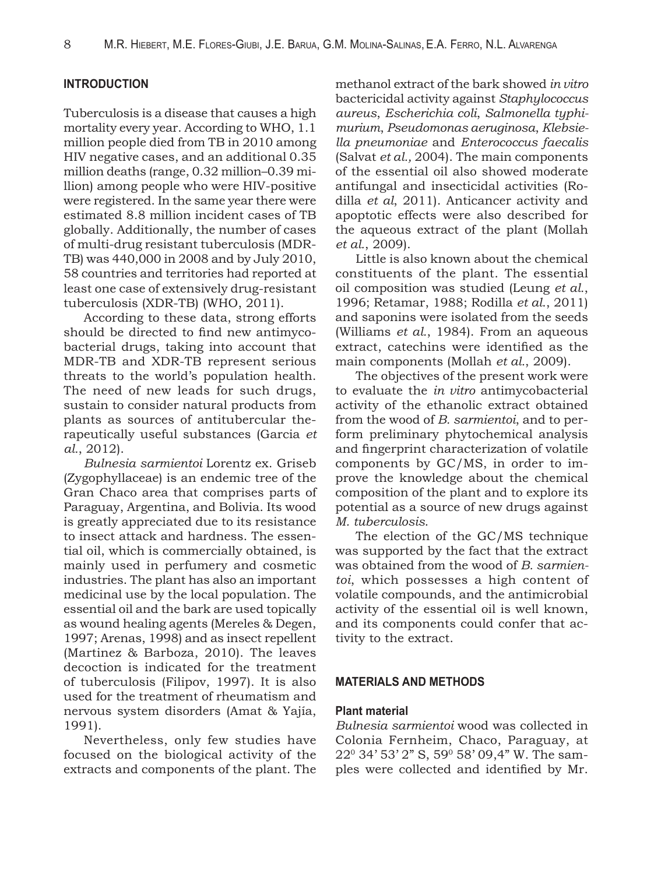# **INTRODUCTION**

Tuberculosis is a disease that causes a high mortality every year. According to WHO, 1.1 million people died from TB in 2010 among HIV negative cases, and an additional 0.35 million deaths (range, 0.32 million–0.39 million) among people who were HIV-positive were registered. In the same year there were estimated 8.8 million incident cases of TB globally. Additionally, the number of cases of multi-drug resistant tuberculosis (MDR-TB) was 440,000 in 2008 and by July 2010, 58 countries and territories had reported at least one case of extensively drug-resistant tuberculosis (XDR-TB) (WHO, 2011).

According to these data, strong efforts should be directed to find new antimycobacterial drugs, taking into account that MDR-TB and XDR-TB represent serious threats to the world's population health. The need of new leads for such drugs, sustain to consider natural products from plants as sources of antitubercular therapeutically useful substances (Garcia *et al.*, 2012).

*Bulnesia sarmientoi* Lorentz ex. Griseb (Zygophyllaceae) is an endemic tree of the Gran Chaco area that comprises parts of Paraguay, Argentina, and Bolivia. Its wood is greatly appreciated due to its resistance to insect attack and hardness. The essential oil, which is commercially obtained, is mainly used in perfumery and cosmetic industries. The plant has also an important medicinal use by the local population. The essential oil and the bark are used topically as wound healing agents (Mereles & Degen, 1997; Arenas, 1998) and as insect repellent (Martinez & Barboza, 2010). The leaves decoction is indicated for the treatment of tuberculosis (Filipov, 1997). It is also used for the treatment of rheumatism and nervous system disorders (Amat & Yajía, 1991).

Nevertheless, only few studies have focused on the biological activity of the extracts and components of the plant. The

methanol extract of the bark showed *in vitro*  bactericidal activity against *Staphylococcus aureus*, *Escherichia coli*, *Salmonella typhimurium*, *Pseudomonas aeruginosa*, *Klebsiella pneumoniae* and *Enterococcus faecalis* (Salvat *et al.,* 2004). The main components of the essential oil also showed moderate antifungal and insecticidal activities (Rodilla *et al*, 2011). Anticancer activity and apoptotic effects were also described for the aqueous extract of the plant (Mollah *et al.*, 2009).

Little is also known about the chemical constituents of the plant. The essential oil composition was studied (Leung *et al.*, 1996; Retamar, 1988; Rodilla *et al*., 2011) and saponins were isolated from the seeds (Williams *et al.*, 1984). From an aqueous extract, catechins were identified as the main components (Mollah *et al.*, 2009).

The objectives of the present work were to evaluate the *in vitro* antimycobacterial activity of the ethanolic extract obtained from the wood of *B. sarmientoi*, and to perform preliminary phytochemical analysis and fingerprint characterization of volatile components by GC/MS, in order to improve the knowledge about the chemical composition of the plant and to explore its potential as a source of new drugs against *M. tuberculosis*.

The election of the GC/MS technique was supported by the fact that the extract was obtained from the wood of *B. sarmientoi*, which possesses a high content of volatile compounds, and the antimicrobial activity of the essential oil is well known, and its components could confer that activity to the extract.

## **MATERIALS AND METHODS**

#### **Plant material**

*Bulnesia sarmientoi* wood was collected in Colonia Fernheim, Chaco, Paraguay, at 220 34' 53' 2" S, 590 58' 09,4" W. The samples were collected and identified by Mr.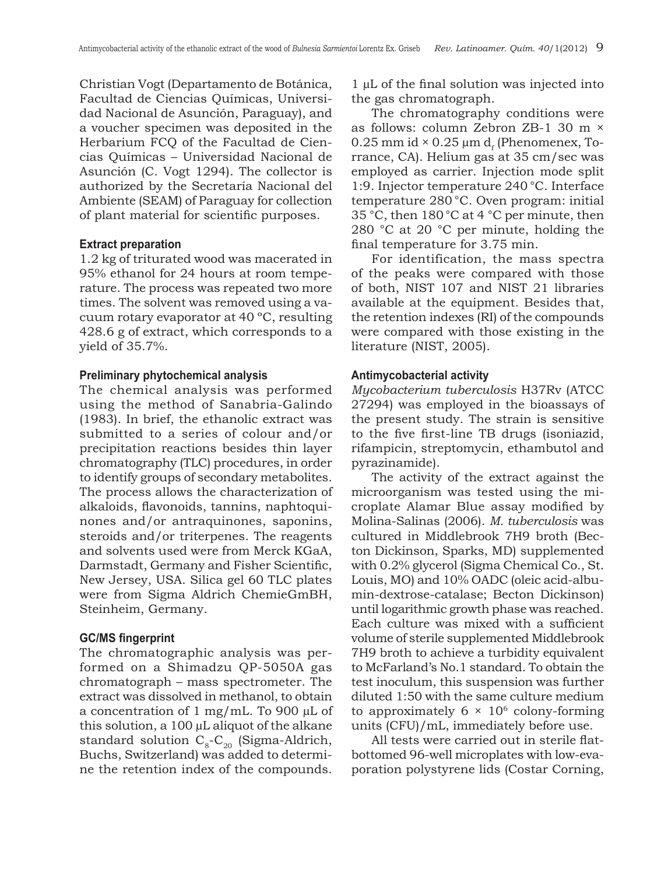Christian Vogt (Departamento de Botánica, Facultad de Ciencias Químicas, Universidad Nacional de Asunción, Paraguay), and a voucher specimen was deposited in the Herbarium FCQ of the Facultad de Ciencias Químicas – Universidad Nacional de Asunción (C. Vogt 1294). The collector is authorized by the Secretaría Nacional del Ambiente (SEAM) of Paraguay for collection of plant material for scientific purposes.

#### **Extract preparation**

1.2 kg of triturated wood was macerated in 95% ethanol for 24 hours at room temperature. The process was repeated two more times. The solvent was removed using a vacuum rotary evaporator at 40 ºC, resulting 428.6 g of extract, which corresponds to a yield of 35.7%.

#### **Preliminary phytochemical analysis**

The chemical analysis was performed using the method of Sanabria-Galindo (1983). In brief, the ethanolic extract was submitted to a series of colour and/or precipitation reactions besides thin layer chromatography (TLC) procedures, in order to identify groups of secondary metabolites. The process allows the characterization of alkaloids, flavonoids, tannins, naphtoquinones and/or antraquinones, saponins, steroids and/or triterpenes. The reagents and solvents used were from Merck KGaA, Darmstadt, Germany and Fisher Scientific, New Jersey, USA. Silica gel 60 TLC plates were from Sigma Aldrich ChemieGmBH, Steinheim, Germany.

#### **GC/MS fingerprint**

The chromatographic analysis was performed on a Shimadzu QP-5050A gas chromatograph – mass spectrometer. The extract was dissolved in methanol, to obtain a concentration of 1 mg/mL. To 900 µL of this solution, a 100 µL aliquot of the alkane standard solution  $C_8$ - $C_2$  (Sigma-Aldrich, Buchs, Switzerland) was added to determine the retention index of the compounds. 1 µL of the final solution was injected into the gas chromatograph.

The chromatography conditions were as follows: column Zebron ZB-1 30 m × 0.25 mm id  $\times$  0.25 µm d<sub>s</sub> (Phenomenex, Torrance, CA). Helium gas at 35 cm/sec was employed as carrier. Injection mode split 1:9. Injector temperature 240 °C. Interface temperature 280 °C. Oven program: initial 35 °C, then 180°C at 4 °C per minute, then 280 °C at 20 °C per minute, holding the final temperature for 3.75 min.

For identification, the mass spectra of the peaks were compared with those of both, NIST 107 and NIST 21 libraries available at the equipment. Besides that, the retention indexes (RI) of the compounds were compared with those existing in the literature (NIST, 2005).

## **Antimycobacterial activity**

*Mycobacterium tuberculosis* H37Rv (ATCC 27294) was employed in the bioassays of the present study. The strain is sensitive to the five first-line TB drugs (isoniazid, rifampicin, streptomycin, ethambutol and pyrazinamide).

The activity of the extract against the microorganism was tested using the microplate Alamar Blue assay modified by Molina-Salinas (2006). *M. tuberculosis* was cultured in Middlebrook 7H9 broth (Becton Dickinson, Sparks, MD) supplemented with 0.2% glycerol (Sigma Chemical Co., St. Louis, MO) and 10% OADC (oleic acid-albumin-dextrose-catalase; Becton Dickinson) until logarithmic growth phase was reached. Each culture was mixed with a sufficient volume of sterile supplemented Middlebrook 7H9 broth to achieve a turbidity equivalent to McFarland's No.1 standard. To obtain the test inoculum, this suspension was further diluted 1:50 with the same culture medium to approximately  $6 \times 10^6$  colony-forming units (CFU)/mL, immediately before use.

All tests were carried out in sterile flatbottomed 96-well microplates with low-evaporation polystyrene lids (Costar Corning,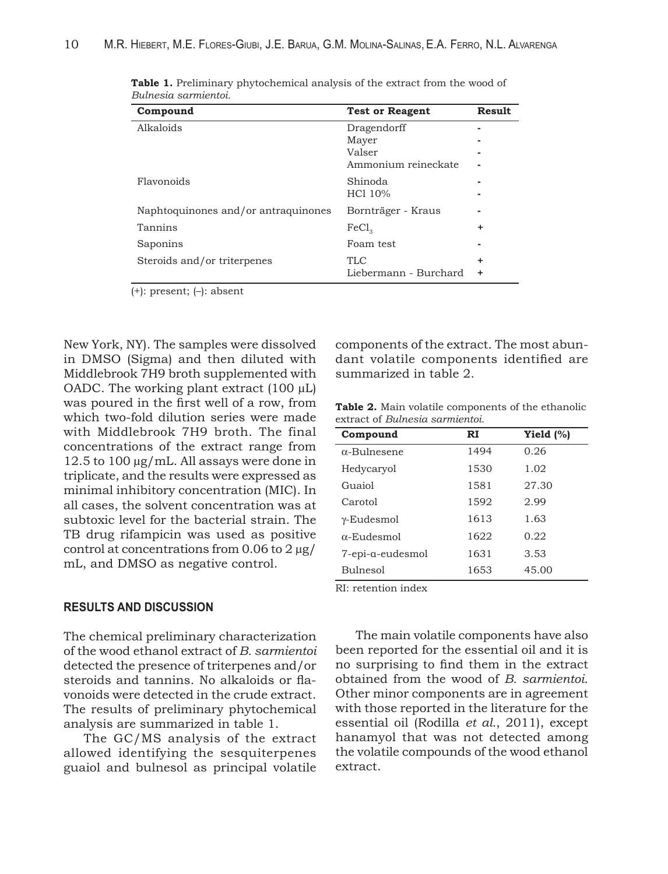| Compound                            | <b>Test or Reagent</b> | <b>Result</b> |
|-------------------------------------|------------------------|---------------|
| Alkaloids                           | Dragendorff            |               |
|                                     | Mayer                  |               |
|                                     | Valser                 |               |
|                                     | Ammonium reineckate    |               |
| Flavonoids                          | Shinoda                |               |
|                                     | HC1 10%                |               |
| Naphtoquinones and/or antraquinones | Bornträger - Kraus     |               |
| Tannins                             | FeCl <sub>3</sub>      | ٠             |
| Saponins                            | Foam test              |               |
| Steroids and/or triterpenes         | <b>TLC</b>             | ٠             |
|                                     | Liebermann - Burchard  | ٠             |

**Table 1.** Preliminary phytochemical analysis of the extract from the wood of *Bulnesia sarmientoi.*

(+): present; (–): absent

New York, NY). The samples were dissolved in DMSO (Sigma) and then diluted with Middlebrook 7H9 broth supplemented with OADC. The working plant extract (100 µL) was poured in the first well of a row, from which two-fold dilution series were made with Middlebrook 7H9 broth. The final concentrations of the extract range from 12.5 to 100 µg/mL. All assays were done in triplicate, and the results were expressed as minimal inhibitory concentration (MIC). In all cases, the solvent concentration was at subtoxic level for the bacterial strain. The TB drug rifampicin was used as positive control at concentrations from 0.06 to 2 µg/ mL, and DMSO as negative control.

# **RESULTS AND DISCUSSION**

The chemical preliminary characterization of the wood ethanol extract of *B. sarmientoi*  detected the presence of triterpenes and/or steroids and tannins. No alkaloids or flavonoids were detected in the crude extract. The results of preliminary phytochemical analysis are summarized in table 1.

The GC/MS analysis of the extract allowed identifying the sesquiterpenes guaiol and bulnesol as principal volatile

components of the extract. The most abundant volatile components identified are summarized in table 2.

**Table 2.** Main volatile components of the ethanolic extract of *Bulnesia sarmientoi.*

| Compound            | RI   | Yield $(\%)$ |
|---------------------|------|--------------|
| $\alpha$ -Bulnesene | 1494 | 0.26         |
| Hedycaryol          | 1530 | 1.02         |
| Guaiol              | 1581 | 27.30        |
| Carotol             | 1592 | 2.99         |
| $\gamma$ -Eudesmol  | 1613 | 1.63         |
| $\alpha$ -Eudesmol  | 1622 | 0.22         |
| 7-epi-a-eudesmol    | 1631 | 3.53         |
| <b>Bulnesol</b>     | 1653 | 45.00        |

RI: retention index

The main volatile components have also been reported for the essential oil and it is no surprising to find them in the extract obtained from the wood of *B. sarmientoi*. Other minor components are in agreement with those reported in the literature for the essential oil (Rodilla *et al.*, 2011), except hanamyol that was not detected among the volatile compounds of the wood ethanol extract.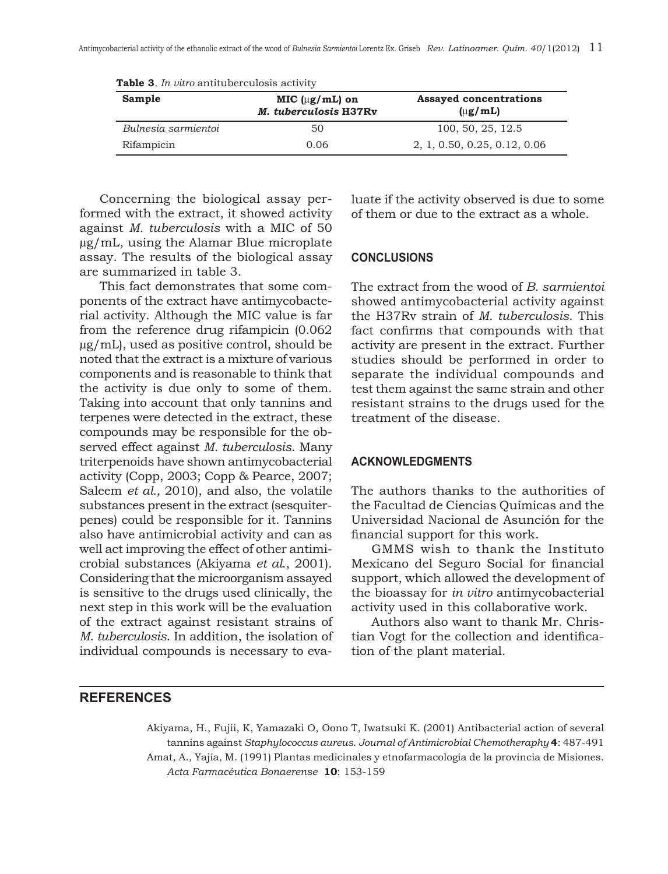| Sample              | MIC $(\mu g/mL)$ on<br>M. tuberculosis H37Rv | <b>Assayed concentrations</b><br>$(\mu$ g/mL) |
|---------------------|----------------------------------------------|-----------------------------------------------|
| Bulnesia sarmientoi | 50                                           | 100, 50, 25, 12.5                             |
| Rifampicin          | 0.06                                         | 2, 1, 0.50, 0.25, 0.12, 0.06                  |

**Table 3***. In vitro* antituberculosis activity

Concerning the biological assay performed with the extract, it showed activity against *M. tuberculosis* with a MIC of 50 µg/mL, using the Alamar Blue microplate assay. The results of the biological assay are summarized in table 3.

This fact demonstrates that some components of the extract have antimycobacterial activity. Although the MIC value is far from the reference drug rifampicin (0.062 µg/mL), used as positive control, should be noted that the extract is a mixture of various components and is reasonable to think that the activity is due only to some of them. Taking into account that only tannins and terpenes were detected in the extract, these compounds may be responsible for the observed effect against *M. tuberculosis*. Many triterpenoids have shown antimycobacterial activity (Copp, 2003; Copp & Pearce, 2007; Saleem *et al.,* 2010), and also, the volatile substances present in the extract (sesquiterpenes) could be responsible for it. Tannins also have antimicrobial activity and can as well act improving the effect of other antimicrobial substances (Akiyama *et al*., 2001). Considering that the microorganism assayed is sensitive to the drugs used clinically, the next step in this work will be the evaluation of the extract against resistant strains of *M. tuberculosis*. In addition, the isolation of individual compounds is necessary to evaluate if the activity observed is due to some of them or due to the extract as a whole.

# **CONCLUSIONS**

The extract from the wood of *B. sarmientoi* showed antimycobacterial activity against the H37Rv strain of *M. tuberculosis*. This fact confirms that compounds with that activity are present in the extract. Further studies should be performed in order to separate the individual compounds and test them against the same strain and other resistant strains to the drugs used for the treatment of the disease.

# **ACKNOWLEDGMENTS**

The authors thanks to the authorities of the Facultad de Ciencias Químicas and the Universidad Nacional de Asunción for the financial support for this work.

GMMS wish to thank the Instituto Mexicano del Seguro Social for financial support, which allowed the development of the bioassay for *in vitro* antimycobacterial activity used in this collaborative work.

Authors also want to thank Mr. Christian Vogt for the collection and identification of the plant material.

# **REFERENCES**

Akiyama, H., Fujii, K, Yamazaki O, Oono T, Iwatsuki K. (2001) Antibacterial action of several tannins against *Staphylococcus aureus*. *Journal of Antimicrobial Chemotheraphy* **4**: 487-491 Amat, A., Yajía, M. (1991) Plantas medicinales y etnofarmacología de la provincia de Misiones. *Acta Farmacéutica Bonaerense* **10**: 153-159